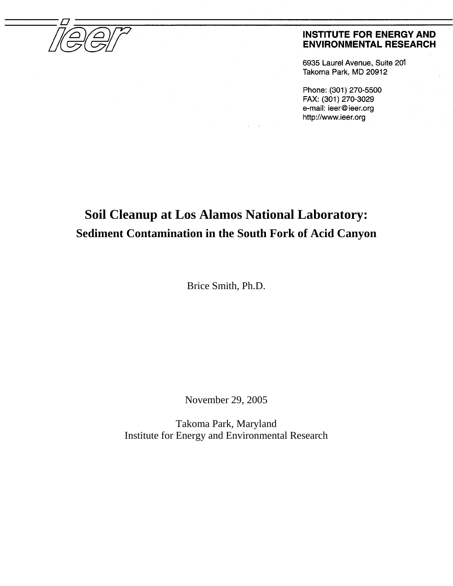

#### **INSTITUTE FOR ENERGY AND ENVIRONMENTAL RESEARCH**

6935 Laurel Avenue, Suite 201 Takoma Park, MD 20912

Phone: (301) 270-5500 FAX: (301) 270-3029 e-mail: ieer@ieer.org http://www.ieer.org

# **Soil Cleanup at Los Alamos National Laboratory: Sediment Contamination in the South Fork of Acid Canyon**

Brice Smith, Ph.D.

November 29, 2005

Takoma Park, Maryland Institute for Energy and Environmental Research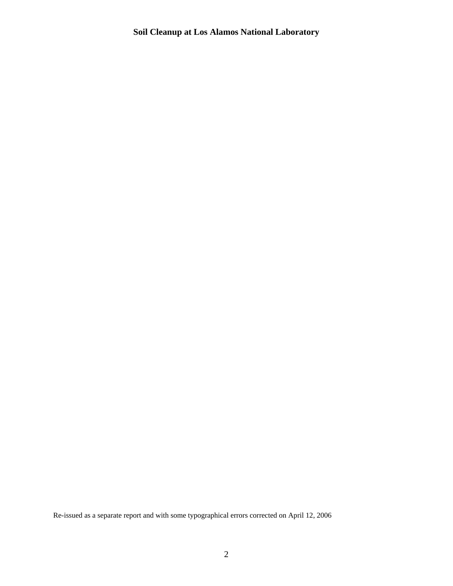Re-issued as a separate report and with some typographical errors corrected on April 12, 2006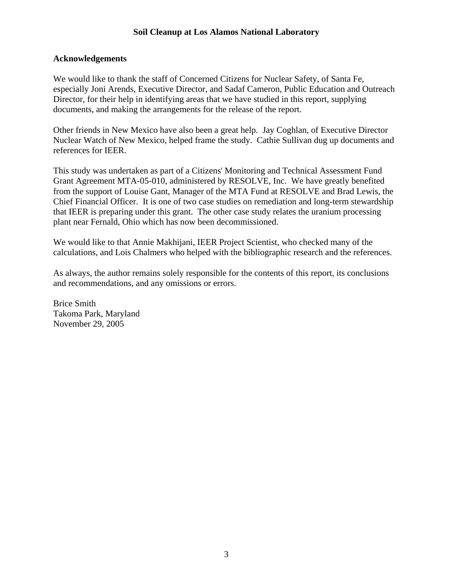#### **Acknowledgements**

We would like to thank the staff of Concerned Citizens for Nuclear Safety, of Santa Fe, especially Joni Arends, Executive Director, and Sadaf Cameron, Public Education and Outreach Director, for their help in identifying areas that we have studied in this report, supplying documents, and making the arrangements for the release of the report.

Other friends in New Mexico have also been a great help. Jay Coghlan, of Executive Director Nuclear Watch of New Mexico, helped frame the study. Cathie Sullivan dug up documents and references for IEER.

This study was undertaken as part of a Citizens' Monitoring and Technical Assessment Fund Grant Agreement MTA-05-010, administered by RESOLVE, Inc. We have greatly benefited from the support of Louise Gant, Manager of the MTA Fund at RESOLVE and Brad Lewis, the Chief Financial Officer. It is one of two case studies on remediation and long-term stewardship that IEER is preparing under this grant. The other case study relates the uranium processing plant near Fernald, Ohio which has now been decommissioned.

We would like to that Annie Makhijani, IEER Project Scientist, who checked many of the calculations, and Lois Chalmers who helped with the bibliographic research and the references.

As always, the author remains solely responsible for the contents of this report, its conclusions and recommendations, and any omissions or errors.

Brice Smith Takoma Park, Maryland November 29, 2005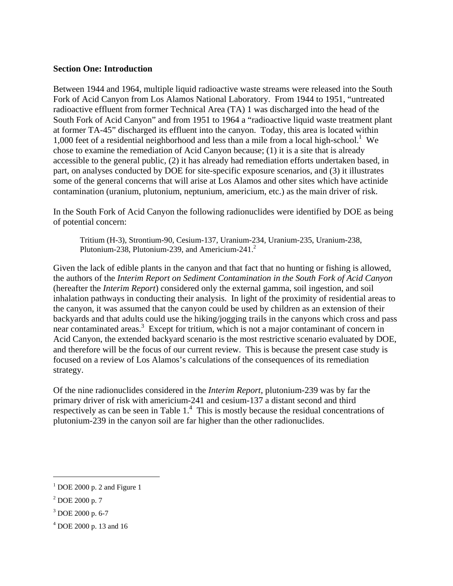#### **Section One: Introduction**

Between 1944 and 1964, multiple liquid radioactive waste streams were released into the South Fork of Acid Canyon from Los Alamos National Laboratory. From 1944 to 1951, "untreated radioactive effluent from former Technical Area (TA) 1 was discharged into the head of the South Fork of Acid Canyon" and from 1951 to 1964 a "radioactive liquid waste treatment plant at former TA-45" discharged its effluent into the canyon. Today, this area is located within 1,000 feet of a residential neighborhood and less than a mile from a local high-school.<sup>1</sup> We chose to examine the remediation of Acid Canyon because; (1) it is a site that is already accessible to the general public, (2) it has already had remediation efforts undertaken based, in part, on analyses conducted by DOE for site-specific exposure scenarios, and (3) it illustrates some of the general concerns that will arise at Los Alamos and other sites which have actinide contamination (uranium, plutonium, neptunium, americium, etc.) as the main driver of risk.

In the South Fork of Acid Canyon the following radionuclides were identified by DOE as being of potential concern:

Tritium (H-3), Strontium-90, Cesium-137, Uranium-234, Uranium-235, Uranium-238, Plutonium-[2](#page-3-1)38, Plutonium-239, and Americium-241. $^2$ 

Given the lack of edible plants in the canyon and that fact that no hunting or fishing is allowed, the authors of the *Interim Report on Sediment Contamination in the South Fork of Acid Canyon* (hereafter the *Interim Report*) considered only the external gamma, soil ingestion, and soil inhalation pathways in conducting their analysis. In light of the proximity of residential areas to the canyon, it was assumed that the canyon could be used by children as an extension of their backyards and that adults could use the hiking/jogging trails in the canyons which cross and pass near contaminated areas.<sup>[3](#page-3-2)</sup> Except for tritium, which is not a major contaminant of concern in Acid Canyon, the extended backyard scenario is the most restrictive scenario evaluated by DOE, and therefore will be the focus of our current review. This is because the present case study is focused on a review of Los Alamos's calculations of the consequences of its remediation strategy.

Of the nine radionuclides considered in the *Interim Report*, plutonium-239 was by far the primary driver of risk with americium-241 and cesium-137 a distant second and third respectively as can be seen in Table  $1<sup>4</sup>$  $1<sup>4</sup>$  $1<sup>4</sup>$ . This is mostly because the residual concentrations of plutonium-239 in the canyon soil are far higher than the other radionuclides.

<u>.</u>

<span id="page-3-0"></span> $<sup>1</sup>$  DOE 2000 p. 2 and Figure 1</sup>

<span id="page-3-1"></span> $2^{2}$  DOE 2000 p. 7

<span id="page-3-2"></span><sup>3</sup> DOE 2000 p. 6-7

<span id="page-3-3"></span><sup>4</sup> DOE 2000 p. 13 and 16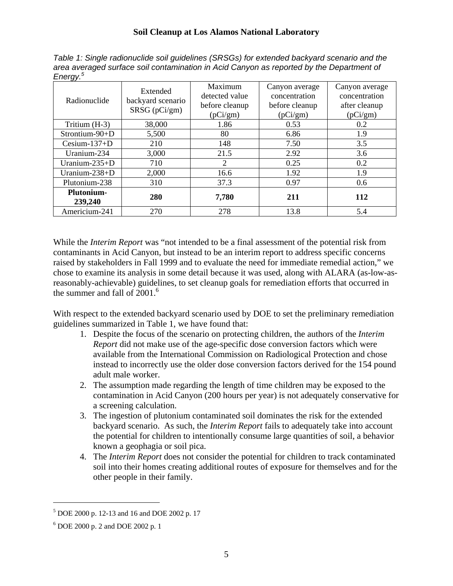*Table 1: Single radionuclide soil guidelines (SRSGs) for extended backyard scenario and the area averaged surface soil contamination in Acid Canyon as reported by the Department of Energy.[5](#page-4-0)* 

| ັ<br>Radionuclide     | Extended<br>backyard scenario<br>SRSG (pCi/gm) | Maximum<br>detected value<br>before cleanup<br>(pCi/gm) | Canyon average<br>concentration<br>before cleanup<br>(pCi/gm) | Canyon average<br>concentration<br>after cleanup<br>(pCi/gm) |
|-----------------------|------------------------------------------------|---------------------------------------------------------|---------------------------------------------------------------|--------------------------------------------------------------|
| Tritium (H-3)         | 38,000                                         | 1.86                                                    | 0.53                                                          | 0.2                                                          |
| Strontium-90+D        | 5,500                                          | 80                                                      | 6.86                                                          | 1.9                                                          |
| Cesium- $137+D$       | 210                                            | 148                                                     | 7.50                                                          | 3.5                                                          |
| Uranium-234           | 3,000                                          | 21.5                                                    | 2.92                                                          | 3.6                                                          |
| Uranium-235+D         | 710                                            | 2                                                       | 0.25                                                          | 0.2                                                          |
| Uranium- $238 + D$    | 2,000                                          | 16.6                                                    | 1.92                                                          | 1.9                                                          |
| Plutonium-238         | 310                                            | 37.3                                                    | 0.97                                                          | 0.6                                                          |
| Plutonium-<br>239,240 | 280                                            | 7,780                                                   | 211                                                           | 112                                                          |
| Americium-241         | 270                                            | 278                                                     | 13.8                                                          | 5.4                                                          |

While the *Interim Report* was "not intended to be a final assessment of the potential risk from contaminants in Acid Canyon, but instead to be an interim report to address specific concerns raised by stakeholders in Fall 1999 and to evaluate the need for immediate remedial action," we chose to examine its analysis in some detail because it was used, along with ALARA (as-low-asreasonably-achievable) guidelines, to set cleanup goals for remediation efforts that occurred in the summer and fall of  $2001<sup>6</sup>$  $2001<sup>6</sup>$  $2001<sup>6</sup>$ 

With respect to the extended backyard scenario used by DOE to set the preliminary remediation guidelines summarized in Table 1, we have found that:

- 1. Despite the focus of the scenario on protecting children, the authors of the *Interim Report* did not make use of the age-specific dose conversion factors which were available from the International Commission on Radiological Protection and chose instead to incorrectly use the older dose conversion factors derived for the 154 pound adult male worker.
- 2. The assumption made regarding the length of time children may be exposed to the contamination in Acid Canyon (200 hours per year) is not adequately conservative for a screening calculation.
- 3. The ingestion of plutonium contaminated soil dominates the risk for the extended backyard scenario. As such, the *Interim Report* fails to adequately take into account the potential for children to intentionally consume large quantities of soil, a behavior known a geophagia or soil pica.
- 4. The *Interim Report* does not consider the potential for children to track contaminated soil into their homes creating additional routes of exposure for themselves and for the other people in their family.

1

<span id="page-4-0"></span><sup>5</sup> DOE 2000 p. 12-13 and 16 and DOE 2002 p. 17

<span id="page-4-1"></span><sup>6</sup> DOE 2000 p. 2 and DOE 2002 p. 1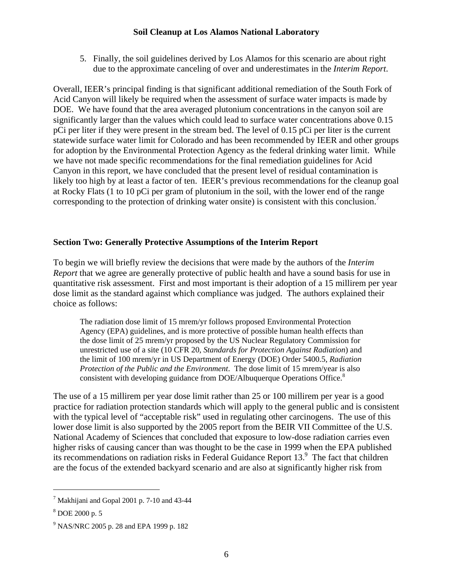5. Finally, the soil guidelines derived by Los Alamos for this scenario are about right due to the approximate canceling of over and underestimates in the *Interim Report*.

Overall, IEER's principal finding is that significant additional remediation of the South Fork of Acid Canyon will likely be required when the assessment of surface water impacts is made by DOE. We have found that the area averaged plutonium concentrations in the canyon soil are significantly larger than the values which could lead to surface water concentrations above 0.15 pCi per liter if they were present in the stream bed. The level of 0.15 pCi per liter is the current statewide surface water limit for Colorado and has been recommended by IEER and other groups for adoption by the Environmental Protection Agency as the federal drinking water limit. While we have not made specific recommendations for the final remediation guidelines for Acid Canyon in this report, we have concluded that the present level of residual contamination is likely too high by at least a factor of ten. IEER's previous recommendations for the cleanup goal at Rocky Flats (1 to 10 pCi per gram of plutonium in the soil, with the lower end of the range corresponding to the protection of drinking water onsite) is consistent with this conclusion.<sup>[7](#page-5-0)</sup>

#### **Section Two: Generally Protective Assumptions of the Interim Report**

To begin we will briefly review the decisions that were made by the authors of the *Interim Report* that we agree are generally protective of public health and have a sound basis for use in quantitative risk assessment. First and most important is their adoption of a 15 millirem per year dose limit as the standard against which compliance was judged. The authors explained their choice as follows:

The radiation dose limit of 15 mrem/yr follows proposed Environmental Protection Agency (EPA) guidelines, and is more protective of possible human health effects than the dose limit of 25 mrem/yr proposed by the US Nuclear Regulatory Commission for unrestricted use of a site (10 CFR 20, *Standards for Protection Against Radiation*) and the limit of 100 mrem/yr in US Department of Energy (DOE) Order 5400.5, *Radiation Protection of the Public and the Environment*. The dose limit of 15 mrem/year is also consistent with developing guidance from DOE/Albuquerque Operations Office.<sup>[8](#page-5-1)</sup>

The use of a 15 millirem per year dose limit rather than 25 or 100 millirem per year is a good practice for radiation protection standards which will apply to the general public and is consistent with the typical level of "acceptable risk" used in regulating other carcinogens. The use of this lower dose limit is also supported by the 2005 report from the BEIR VII Committee of the U.S. National Academy of Sciences that concluded that exposure to low-dose radiation carries even higher risks of causing cancer than was thought to be the case in 1999 when the EPA published its recommendations on radiation risks in Federal Guidance Report 13.<sup>9</sup> The fact that children are the focus of the extended backyard scenario and are also at significantly higher risk from

1

<span id="page-5-0"></span> $7$  Makhijani and Gopal 2001 p. 7-10 and 43-44

<span id="page-5-1"></span><sup>8</sup> DOE 2000 p. 5

<span id="page-5-2"></span><sup>9</sup> NAS/NRC 2005 p. 28 and EPA 1999 p. 182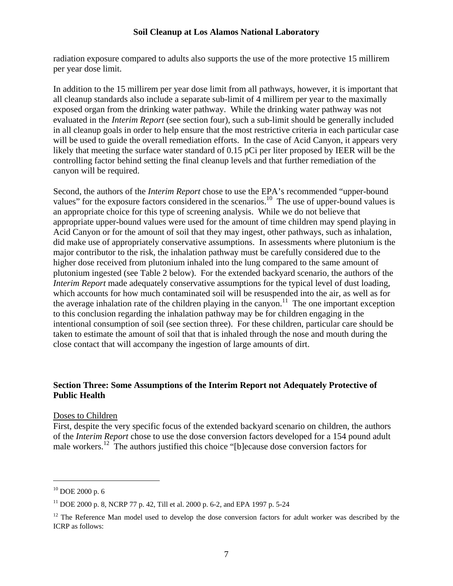radiation exposure compared to adults also supports the use of the more protective 15 millirem per year dose limit.

In addition to the 15 millirem per year dose limit from all pathways, however, it is important that all cleanup standards also include a separate sub-limit of 4 millirem per year to the maximally exposed organ from the drinking water pathway. While the drinking water pathway was not evaluated in the *Interim Report* (see section four), such a sub-limit should be generally included in all cleanup goals in order to help ensure that the most restrictive criteria in each particular case will be used to guide the overall remediation efforts. In the case of Acid Canyon, it appears very likely that meeting the surface water standard of 0.15 pCi per liter proposed by IEER will be the controlling factor behind setting the final cleanup levels and that further remediation of the canyon will be required.

Second, the authors of the *Interim Report* chose to use the EPA's recommended "upper-bound values" for the exposure factors considered in the scenarios.<sup>10</sup> The use of upper-bound values is an appropriate choice for this type of screening analysis. While we do not believe that appropriate upper-bound values were used for the amount of time children may spend playing in Acid Canyon or for the amount of soil that they may ingest, other pathways, such as inhalation, did make use of appropriately conservative assumptions. In assessments where plutonium is the major contributor to the risk, the inhalation pathway must be carefully considered due to the higher dose received from plutonium inhaled into the lung compared to the same amount of plutonium ingested (see Table 2 below). For the extended backyard scenario, the authors of the *Interim Report* made adequately conservative assumptions for the typical level of dust loading, which accounts for how much contaminated soil will be resuspended into the air, as well as for the average inhalation rate of the children playing in the canyon.<sup>11</sup> The one important exception to this conclusion regarding the inhalation pathway may be for children engaging in the intentional consumption of soil (see section three). For these children, particular care should be taken to estimate the amount of soil that that is inhaled through the nose and mouth during the close contact that will accompany the ingestion of large amounts of dirt.

#### **Section Three: Some Assumptions of the Interim Report not Adequately Protective of Public Health**

#### Doses to Children

First, despite the very specific focus of the extended backyard scenario on children, the authors of the *Interim Report* chose to use the dose conversion factors developed for a 154 pound adult male workers.<sup>12</sup> The authors justified this choice "[b]ecause dose conversion factors for

<span id="page-6-0"></span><sup>10</sup> DOE 2000 p. 6

<span id="page-6-1"></span><sup>&</sup>lt;sup>11</sup> DOE 2000 p. 8, NCRP 77 p. 42, Till et al. 2000 p. 6-2, and EPA 1997 p. 5-24

<span id="page-6-2"></span> $12$  The Reference Man model used to develop the dose conversion factors for adult worker was described by the ICRP as follows: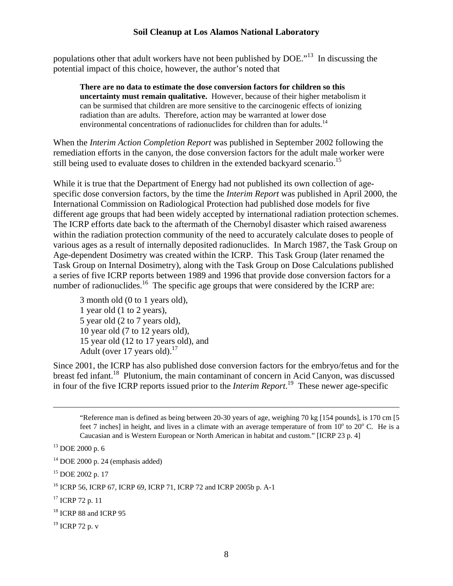populations other that adult workers have not been published by DOE."[13](#page-7-0) In discussing the potential impact of this choice, however, the author's noted that

**There are no data to estimate the dose conversion factors for children so this uncertainty must remain qualitative.** However, because of their higher metabolism it can be surmised that children are more sensitive to the carcinogenic effects of ionizing radiation than are adults. Therefore, action may be warranted at lower dose environmental concentrations of radionuclides for children than for adults.<sup>[14](#page-7-1)</sup>

When the *Interim Action Completion Report* was published in September 2002 following the remediation efforts in the canyon, the dose conversion factors for the adult male worker were still being used to evaluate doses to children in the extended backyard scenario.<sup>15</sup>

While it is true that the Department of Energy had not published its own collection of agespecific dose conversion factors, by the time the *Interim Report* was published in April 2000, the International Commission on Radiological Protection had published dose models for five different age groups that had been widely accepted by international radiation protection schemes. The ICRP efforts date back to the aftermath of the Chernobyl disaster which raised awareness within the radiation protection community of the need to accurately calculate doses to people of various ages as a result of internally deposited radionuclides. In March 1987, the Task Group on Age-dependent Dosimetry was created within the ICRP. This Task Group (later renamed the Task Group on Internal Dosimetry), along with the Task Group on Dose Calculations published a series of five ICRP reports between 1989 and 1996 that provide dose conversion factors for a number of radionuclides.<sup>16</sup> The specific age groups that were considered by the ICRP are:

3 month old (0 to 1 years old), 1 year old (1 to 2 years), 5 year old (2 to 7 years old), 10 year old (7 to 12 years old), 15 year old (12 to 17 years old), and Adult (over [17](#page-7-4) years old). $^{17}$ 

Since 2001, the ICRP has also published dose conversion factors for the embryo/fetus and for the breast fed infant.<sup>18</sup> Plutonium, the main contaminant of concern in Acid Canyon, was discussed in four of the five ICRP reports issued prior to the *Interim Report*. [19](#page-7-6) These newer age-specific

"Reference man is defined as being between 20-30 years of age, weighing 70 kg [154 pounds], is 170 cm [5 feet 7 inches] in height, and lives in a climate with an average temperature of from  $10^{\circ}$  to  $20^{\circ}$  C. He is a Caucasian and is Western European or North American in habitat and custom." [ICRP 23 p. 4]

<span id="page-7-0"></span><sup>13</sup> DOE 2000 p. 6

<span id="page-7-1"></span> $14$  DOE 2000 p. 24 (emphasis added)

<span id="page-7-2"></span><sup>15</sup> DOE 2002 p. 17

<span id="page-7-3"></span><sup>16</sup> ICRP 56, ICRP 67, ICRP 69, ICRP 71, ICRP 72 and ICRP 2005b p. A-1

<span id="page-7-4"></span><sup>&</sup>lt;sup>17</sup> ICRP 72 p. 11

<span id="page-7-5"></span><sup>&</sup>lt;sup>18</sup> ICRP 88 and ICRP 95

<span id="page-7-6"></span> $19$  ICRP 72 p. v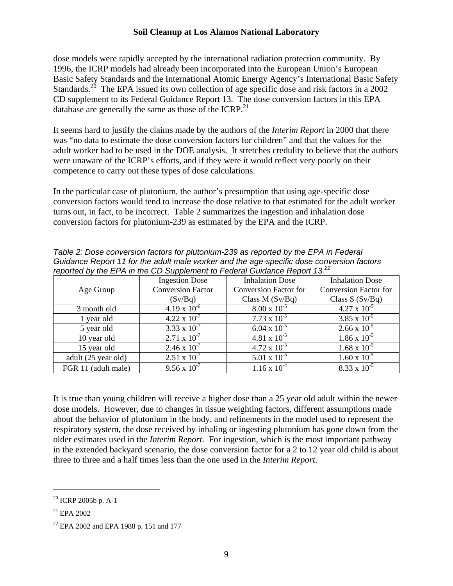dose models were rapidly accepted by the international radiation protection community. By 1996, the ICRP models had already been incorporated into the European Union's European Basic Safety Standards and the International Atomic Energy Agency's International Basic Safety Standards.<sup>20</sup> The EPA issued its own collection of age specific dose and risk factors in a 2002 CD supplement to its Federal Guidance Report 13. The dose conversion factors in this EPA database are generally the same as those of the ICRP. $^{21}$  $^{21}$  $^{21}$ 

It seems hard to justify the claims made by the authors of the *Interim Report* in 2000 that there was "no data to estimate the dose conversion factors for children" and that the values for the adult worker had to be used in the DOE analysis. It stretches credulity to believe that the authors were unaware of the ICRP's efforts, and if they were it would reflect very poorly on their competence to carry out these types of dose calculations.

In the particular case of plutonium, the author's presumption that using age-specific dose conversion factors would tend to increase the dose relative to that estimated for the adult worker turns out, in fact, to be incorrect. Table 2 summarizes the ingestion and inhalation dose conversion factors for plutonium-239 as estimated by the EPA and the ICRP.

| Table 2: Dose conversion factors for plutonium-239 as reported by the EPA in Federal      |                       |                        |                        |
|-------------------------------------------------------------------------------------------|-----------------------|------------------------|------------------------|
| Guidance Report 11 for the adult male worker and the age-specific dose conversion factors |                       |                        |                        |
| reported by the EPA in the CD Supplement to Federal Guidance Report 13. <sup>22</sup>     |                       |                        |                        |
|                                                                                           | <b>Ingestion Dose</b> | <b>Inhalation Dose</b> | <b>Inhalation Dose</b> |

|                     | <b>Ingestion Dose</b>    | <b>Inhalation Dose</b>       | <b>Inhalation Dose</b>       |
|---------------------|--------------------------|------------------------------|------------------------------|
| Age Group           | <b>Conversion Factor</b> | <b>Conversion Factor for</b> | <b>Conversion Factor for</b> |
|                     | (Sv/Bq)                  | Class $M(Sv/Bq)$             | Class $S(Sv/Bq)$             |
| 3 month old         | $4.19 \times 10^{-6}$    | $8.00 \times 10^{-5}$        | $4.27 \times 10^{-5}$        |
| 1 year old          | $4.22 \times 10^{-7}$    | $7.73 \times 10^{-5}$        | $3.85 \times 10^{-5}$        |
| 5 year old          | 3.33 x $10^{-7}$         | $6.04 \times 10^{-5}$        | $2.66 \times 10^{-5}$        |
| 10 year old         | $2.71 \times 10^{-7}$    | $4.81 \times 10^{-5}$        | $1.86 \times 10^{-5}$        |
| 15 year old         | $2.46 \times 10^{-7}$    | $4.72 \times 10^{-5}$        | $1.68 \times 10^{-5}$        |
| adult (25 year old) | $2.51 \times 10^{-7}$    | $5.01 \times 10^{-5}$        | $1.60 \times 10^{-5}$        |
| FGR 11 (adult male) | $9.56 \times 10^{-7}$    | $1.16 \times 10^{-4}$        | $8.33 \times 10^{-5}$        |

It is true than young children will receive a higher dose than a 25 year old adult within the newer dose models. However, due to changes in tissue weighting factors, different assumptions made about the behavior of plutonium in the body, and refinements in the model used to represent the respiratory system, the dose received by inhaling or ingesting plutonium has gone down from the older estimates used in the *Interim Report*. For ingestion, which is the most important pathway in the extended backyard scenario, the dose conversion factor for a 2 to 12 year old child is about three to three and a half times less than the one used in the *Interim Report*.

<span id="page-8-0"></span><sup>20</sup> ICRP 2005b p. A-1

<span id="page-8-1"></span> $^{21}$  EPA 2002

<span id="page-8-2"></span><sup>22</sup> EPA 2002 and EPA 1988 p. 151 and 177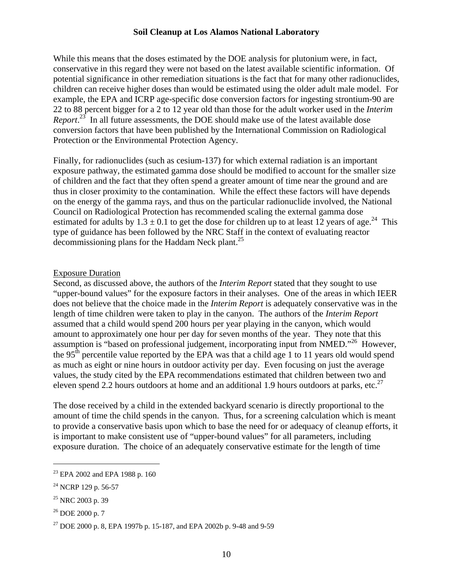While this means that the doses estimated by the DOE analysis for plutonium were, in fact, conservative in this regard they were not based on the latest available scientific information. Of potential significance in other remediation situations is the fact that for many other radionuclides, children can receive higher doses than would be estimated using the older adult male model. For example, the EPA and ICRP age-specific dose conversion factors for ingesting strontium-90 are 22 to 88 percent bigger for a 2 to 12 year old than those for the adult worker used in the *Interim Report*. [23](#page-9-0) In all future assessments, the DOE should make use of the latest available dose conversion factors that have been published by the International Commission on Radiological Protection or the Environmental Protection Agency.

Finally, for radionuclides (such as cesium-137) for which external radiation is an important exposure pathway, the estimated gamma dose should be modified to account for the smaller size of children and the fact that they often spend a greater amount of time near the ground and are thus in closer proximity to the contamination. While the effect these factors will have depends on the energy of the gamma rays, and thus on the particular radionuclide involved, the National Council on Radiological Protection has recommended scaling the external gamma dose estimated for adults by  $1.3 \pm 0.1$  to get the dose for children up to at least 12 years of age.<sup>24</sup> This type of guidance has been followed by the NRC Staff in the context of evaluating reactor decommissioning plans for the Haddam Neck plant.<sup>[25](#page-9-2)</sup>

#### Exposure Duration

Second, as discussed above, the authors of the *Interim Report* stated that they sought to use "upper-bound values" for the exposure factors in their analyses. One of the areas in which IEER does not believe that the choice made in the *Interim Report* is adequately conservative was in the length of time children were taken to play in the canyon. The authors of the *Interim Report* assumed that a child would spend 200 hours per year playing in the canyon, which would amount to approximately one hour per day for seven months of the year. They note that this assumption is "based on professional judgement, incorporating input from NMED."<sup>26</sup> However, the 95<sup>th</sup> percentile value reported by the EPA was that a child age 1 to 11 years old would spend as much as eight or nine hours in outdoor activity per day. Even focusing on just the average values, the study cited by the EPA recommendations estimated that children between two and eleven spend 2.2 hours outdoors at home and an additional 1.9 hours outdoors at parks, etc.<sup>27</sup>

The dose received by a child in the extended backyard scenario is directly proportional to the amount of time the child spends in the canyon. Thus, for a screening calculation which is meant to provide a conservative basis upon which to base the need for or adequacy of cleanup efforts, it is important to make consistent use of "upper-bound values" for all parameters, including exposure duration. The choice of an adequately conservative estimate for the length of time

<span id="page-9-0"></span><sup>23</sup> EPA 2002 and EPA 1988 p. 160

<span id="page-9-1"></span><sup>&</sup>lt;sup>24</sup> NCRP 129 p. 56-57

<span id="page-9-2"></span><sup>&</sup>lt;sup>25</sup> NRC 2003 p. 39

<span id="page-9-3"></span><sup>26</sup> DOE 2000 p. 7

<span id="page-9-4"></span><sup>27</sup> DOE 2000 p. 8, EPA 1997b p. 15-187, and EPA 2002b p. 9-48 and 9-59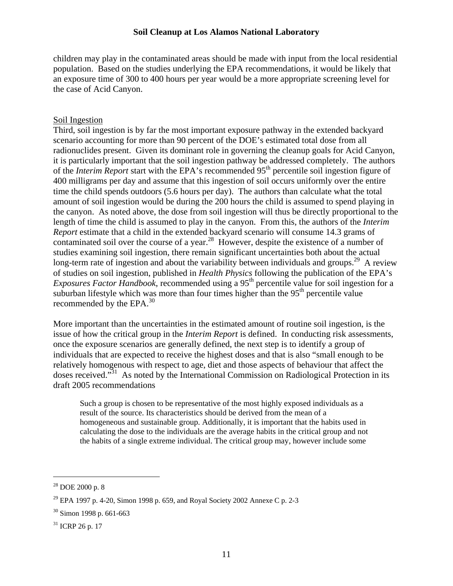children may play in the contaminated areas should be made with input from the local residential population. Based on the studies underlying the EPA recommendations, it would be likely that an exposure time of 300 to 400 hours per year would be a more appropriate screening level for the case of Acid Canyon.

#### Soil Ingestion

Third, soil ingestion is by far the most important exposure pathway in the extended backyard scenario accounting for more than 90 percent of the DOE's estimated total dose from all radionuclides present. Given its dominant role in governing the cleanup goals for Acid Canyon, it is particularly important that the soil ingestion pathway be addressed completely. The authors of the *Interim Report* start with the EPA's recommended 95<sup>th</sup> percentile soil ingestion figure of 400 milligrams per day and assume that this ingestion of soil occurs uniformly over the entire time the child spends outdoors (5.6 hours per day). The authors than calculate what the total amount of soil ingestion would be during the 200 hours the child is assumed to spend playing in the canyon. As noted above, the dose from soil ingestion will thus be directly proportional to the length of time the child is assumed to play in the canyon. From this, the authors of the *Interim Report* estimate that a child in the extended backyard scenario will consume 14.3 grams of contaminated soil over the course of a year.<sup>28</sup> However, despite the existence of a number of studies examining soil ingestion, there remain significant uncertainties both about the actual long-term rate of ingestion and about the variability between individuals and groups.<sup>29</sup> A review of studies on soil ingestion, published in *Health Physics* following the publication of the EPA's *Exposures Factor Handbook*, recommended using a 95<sup>th</sup> percentile value for soil ingestion for a suburban lifestyle which was more than four times higher than the  $95<sup>th</sup>$  percentile value recommended by the EPA.<sup>30</sup>

More important than the uncertainties in the estimated amount of routine soil ingestion, is the issue of how the critical group in the *Interim Report* is defined. In conducting risk assessments, once the exposure scenarios are generally defined, the next step is to identify a group of individuals that are expected to receive the highest doses and that is also "small enough to be relatively homogenous with respect to age, diet and those aspects of behaviour that affect the doses received.<sup>331</sup> As noted by the International Commission on Radiological Protection in its draft 2005 recommendations

Such a group is chosen to be representative of the most highly exposed individuals as a result of the source. Its characteristics should be derived from the mean of a homogeneous and sustainable group. Additionally, it is important that the habits used in calculating the dose to the individuals are the average habits in the critical group and not the habits of a single extreme individual. The critical group may, however include some

<span id="page-10-0"></span><sup>28</sup> DOE 2000 p. 8

<span id="page-10-1"></span><sup>&</sup>lt;sup>29</sup> EPA 1997 p. 4-20, Simon 1998 p. 659, and Royal Society 2002 Annexe C p. 2-3

<span id="page-10-2"></span><sup>30</sup> Simon 1998 p. 661-663

<span id="page-10-3"></span> $31$  ICRP 26 p. 17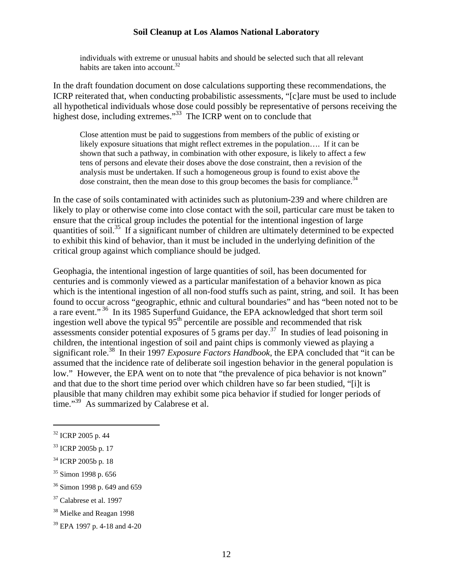individuals with extreme or unusual habits and should be selected such that all relevant habits are taken into account.<sup>[32](#page-11-0)</sup>

In the draft foundation document on dose calculations supporting these recommendations, the ICRP reiterated that, when conducting probabilistic assessments, "[c]are must be used to include all hypothetical individuals whose dose could possibly be representative of persons receiving the highest dose, including extremes."<sup>33</sup> The ICRP went on to conclude that

Close attention must be paid to suggestions from members of the public of existing or likely exposure situations that might reflect extremes in the population…. If it can be shown that such a pathway, in combination with other exposure, is likely to affect a few tens of persons and elevate their doses above the dose constraint, then a revision of the analysis must be undertaken. If such a homogeneous group is found to exist above the dose constraint, then the mean dose to this group becomes the basis for compliance.<sup>[34](#page-11-2)</sup>

In the case of soils contaminated with actinides such as plutonium-239 and where children are likely to play or otherwise come into close contact with the soil, particular care must be taken to ensure that the critical group includes the potential for the intentional ingestion of large quantities of soil[.35](#page-11-3) If a significant number of children are ultimately determined to be expected to exhibit this kind of behavior, than it must be included in the underlying definition of the critical group against which compliance should be judged.

Geophagia, the intentional ingestion of large quantities of soil, has been documented for centuries and is commonly viewed as a particular manifestation of a behavior known as pica which is the intentional ingestion of all non-food stuffs such as paint, string, and soil. It has been found to occur across "geographic, ethnic and cultural boundaries" and has "been noted not to be a rare event."<sup>36</sup> In its 1985 Superfund Guidance, the EPA acknowledged that short term soil ingestion well above the typical  $95<sup>th</sup>$  percentile are possible and recommended that risk assessments consider potential exposures of 5 grams per day.<sup>37</sup> In studies of lead poisoning in children, the intentional ingestion of soil and paint chips is commonly viewed as playing a significant role. [38](#page-11-6) In their 1997 *Exposure Factors Handbook*, the EPA concluded that "it can be assumed that the incidence rate of deliberate soil ingestion behavior in the general population is low." However, the EPA went on to note that "the prevalence of pica behavior is not known" and that due to the short time period over which children have so far been studied, "[i]t is plausible that many children may exhibit some pica behavior if studied for longer periods of time."<sup>39</sup> As summarized by Calabrese et al.

<span id="page-11-0"></span><sup>32</sup> ICRP 2005 p. 44

<span id="page-11-1"></span><sup>33</sup> ICRP 2005b p. 17

<span id="page-11-2"></span><sup>34</sup> ICRP 2005b p. 18

<span id="page-11-3"></span><sup>35</sup> Simon 1998 p. 656

<span id="page-11-4"></span><sup>36</sup> Simon 1998 p. 649 and 659

<span id="page-11-5"></span> $37$  Calabrese et al. 1997

<span id="page-11-6"></span><sup>38</sup> Mielke and Reagan 1998

<span id="page-11-7"></span><sup>39</sup> EPA 1997 p. 4-18 and 4-20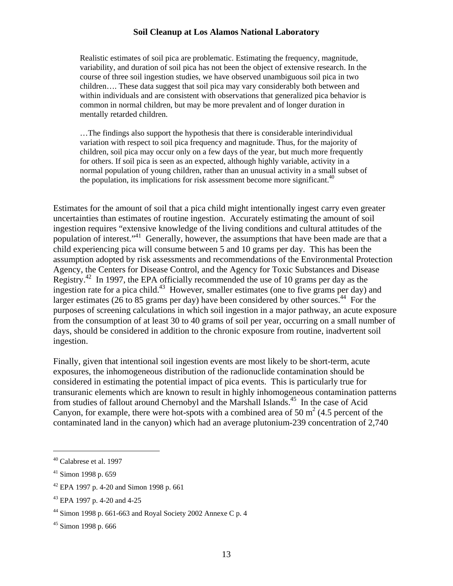Realistic estimates of soil pica are problematic. Estimating the frequency, magnitude, variability, and duration of soil pica has not been the object of extensive research. In the course of three soil ingestion studies, we have observed unambiguous soil pica in two children…. These data suggest that soil pica may vary considerably both between and within individuals and are consistent with observations that generalized pica behavior is common in normal children, but may be more prevalent and of longer duration in mentally retarded children.

…The findings also support the hypothesis that there is considerable interindividual variation with respect to soil pica frequency and magnitude. Thus, for the majority of children, soil pica may occur only on a few days of the year, but much more frequently for others. If soil pica is seen as an expected, although highly variable, activity in a normal population of young children, rather than an unusual activity in a small subset of the population, its implications for risk assessment become more significant.<sup>[40](#page-12-0)</sup>

Estimates for the amount of soil that a pica child might intentionally ingest carry even greater uncertainties than estimates of routine ingestion. Accurately estimating the amount of soil ingestion requires "extensive knowledge of the living conditions and cultural attitudes of the population of interest.["41](#page-12-1) Generally, however, the assumptions that have been made are that a child experiencing pica will consume between 5 and 10 grams per day. This has been the assumption adopted by risk assessments and recommendations of the Environmental Protection Agency, the Centers for Disease Control, and the Agency for Toxic Substances and Disease Registry.<sup>42</sup> In 1997, the EPA officially recommended the use of 10 grams per day as the ingestion rate for a pica child.<sup>43</sup> However, smaller estimates (one to five grams per day) and larger estimates (26 to 85 grams per day) have been considered by other sources.<sup>44</sup> For the purposes of screening calculations in which soil ingestion in a major pathway, an acute exposure from the consumption of at least 30 to 40 grams of soil per year, occurring on a small number of days, should be considered in addition to the chronic exposure from routine, inadvertent soil ingestion.

Finally, given that intentional soil ingestion events are most likely to be short-term, acute exposures, the inhomogeneous distribution of the radionuclide contamination should be considered in estimating the potential impact of pica events. This is particularly true for transuranic elements which are known to result in highly inhomogeneous contamination patterns from studies of fallout around Chernobyl and the Marshall Islands.<sup>45</sup> In the case of Acid Canyon, for example, there were hot-spots with a combined area of 50  $m^2$  (4.5 percent of the contaminated land in the canyon) which had an average plutonium-239 concentration of 2,740

<span id="page-12-0"></span><sup>40</sup> Calabrese et al. 1997

<span id="page-12-1"></span> $41$  Simon 1998 p. 659

<span id="page-12-2"></span><sup>42</sup> EPA 1997 p. 4-20 and Simon 1998 p. 661

<span id="page-12-3"></span><sup>43</sup> EPA 1997 p. 4-20 and 4-25

<span id="page-12-4"></span> $44$  Simon 1998 p. 661-663 and Royal Society 2002 Annexe C p. 4

<span id="page-12-5"></span><sup>45</sup> Simon 1998 p. 666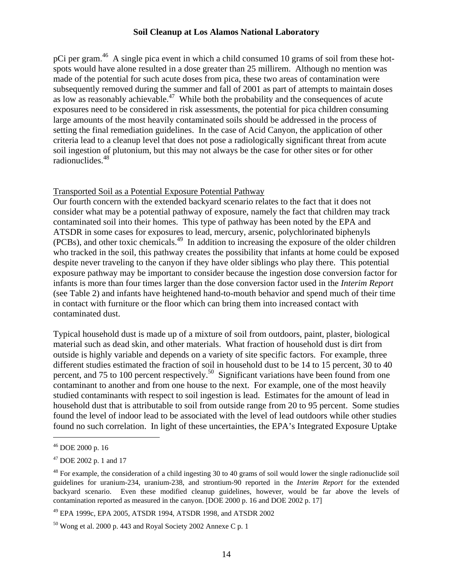pCi per gram.<sup>46</sup> A single pica event in which a child consumed 10 grams of soil from these hotspots would have alone resulted in a dose greater than 25 millirem. Although no mention was made of the potential for such acute doses from pica, these two areas of contamination were subsequently removed during the summer and fall of 2001 as part of attempts to maintain doses as low as reasonably achievable.<sup>47</sup> While both the probability and the consequences of acute exposures need to be considered in risk assessments, the potential for pica children consuming large amounts of the most heavily contaminated soils should be addressed in the process of setting the final remediation guidelines. In the case of Acid Canyon, the application of other criteria lead to a cleanup level that does not pose a radiologically significant threat from acute soil ingestion of plutonium, but this may not always be the case for other sites or for other radionuclides.[48](#page-13-2)

#### Transported Soil as a Potential Exposure Potential Pathway

Our fourth concern with the extended backyard scenario relates to the fact that it does not consider what may be a potential pathway of exposure, namely the fact that children may track contaminated soil into their homes. This type of pathway has been noted by the EPA and ATSDR in some cases for exposures to lead, mercury, arsenic, polychlorinated biphenyls (PCBs), and other toxic chemicals[.49](#page-13-3) In addition to increasing the exposure of the older children who tracked in the soil, this pathway creates the possibility that infants at home could be exposed despite never traveling to the canyon if they have older siblings who play there. This potential exposure pathway may be important to consider because the ingestion dose conversion factor for infants is more than four times larger than the dose conversion factor used in the *Interim Report* (see Table 2) and infants have heightened hand-to-mouth behavior and spend much of their time in contact with furniture or the floor which can bring them into increased contact with contaminated dust.

Typical household dust is made up of a mixture of soil from outdoors, paint, plaster, biological material such as dead skin, and other materials. What fraction of household dust is dirt from outside is highly variable and depends on a variety of site specific factors. For example, three different studies estimated the fraction of soil in household dust to be 14 to 15 percent, 30 to 40 percent, and 75 to 100 percent respectively.<sup>50</sup> Significant variations have been found from one contaminant to another and from one house to the next. For example, one of the most heavily studied contaminants with respect to soil ingestion is lead. Estimates for the amount of lead in household dust that is attributable to soil from outside range from 20 to 95 percent. Some studies found the level of indoor lead to be associated with the level of lead outdoors while other studies found no such correlation. In light of these uncertainties, the EPA's Integrated Exposure Uptake

 $\overline{a}$ 

<span id="page-13-3"></span>49 EPA 1999c, EPA 2005, ATSDR 1994, ATSDR 1998, and ATSDR 2002

<span id="page-13-0"></span><sup>46</sup> DOE 2000 p. 16

<span id="page-13-1"></span><sup>47</sup> DOE 2002 p. 1 and 17

<span id="page-13-2"></span> $48$  For example, the consideration of a child ingesting 30 to 40 grams of soil would lower the single radionuclide soil guidelines for uranium-234, uranium-238, and strontium-90 reported in the *Interim Report* for the extended backyard scenario. Even these modified cleanup guidelines, however, would be far above the levels of contamination reported as measured in the canyon. [DOE 2000 p. 16 and DOE 2002 p. 17]

<span id="page-13-4"></span> $50$  Wong et al. 2000 p. 443 and Royal Society 2002 Annexe C p. 1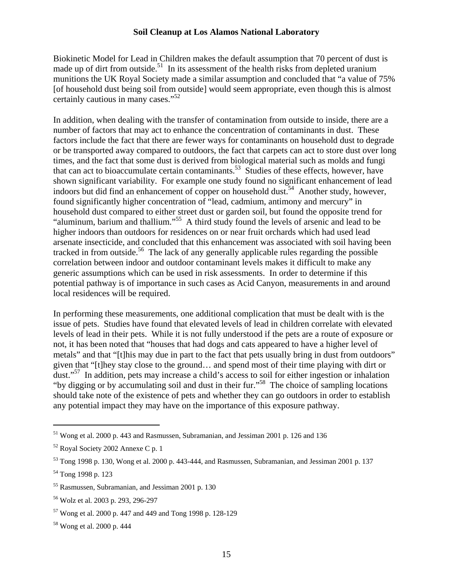Biokinetic Model for Lead in Children makes the default assumption that 70 percent of dust is made up of dirt from outside.<sup>51</sup> In its assessment of the health risks from depleted uranium munitions the UK Royal Society made a similar assumption and concluded that "a value of 75% [of household dust being soil from outside] would seem appropriate, even though this is almost certainly cautious in many cases."[52](#page-14-1)

In addition, when dealing with the transfer of contamination from outside to inside, there are a number of factors that may act to enhance the concentration of contaminants in dust. These factors include the fact that there are fewer ways for contaminants on household dust to degrade or be transported away compared to outdoors, the fact that carpets can act to store dust over long times, and the fact that some dust is derived from biological material such as molds and fungi that can act to bioaccumulate certain contaminants.<sup>53</sup> Studies of these effects, however, have shown significant variability. For example one study found no significant enhancement of lead indoors but did find an enhancement of copper on household dust.<sup>54</sup> Another study, however, found significantly higher concentration of "lead, cadmium, antimony and mercury" in household dust compared to either street dust or garden soil, but found the opposite trend for "aluminum, barium and thallium."[55](#page-14-4) A third study found the levels of arsenic and lead to be higher indoors than outdoors for residences on or near fruit orchards which had used lead arsenate insecticide, and concluded that this enhancement was associated with soil having been tracked in from outside.<sup>56</sup> The lack of any generally applicable rules regarding the possible correlation between indoor and outdoor contaminant levels makes it difficult to make any generic assumptions which can be used in risk assessments. In order to determine if this potential pathway is of importance in such cases as Acid Canyon, measurements in and around local residences will be required.

In performing these measurements, one additional complication that must be dealt with is the issue of pets. Studies have found that elevated levels of lead in children correlate with elevated levels of lead in their pets. While it is not fully understood if the pets are a route of exposure or not, it has been noted that "houses that had dogs and cats appeared to have a higher level of metals" and that "[t]his may due in part to the fact that pets usually bring in dust from outdoors" given that "[t]hey stay close to the ground… and spend most of their time playing with dirt or dust.<sup>"57</sup> In addition, pets may increase a child's access to soil for either ingestion or inhalation "by digging or by accumulating soil and dust in their fur."[58](#page-14-7) The choice of sampling locations should take note of the existence of pets and whether they can go outdoors in order to establish any potential impact they may have on the importance of this exposure pathway.

1

<span id="page-14-0"></span><sup>51</sup> Wong et al. 2000 p. 443 and Rasmussen, Subramanian, and Jessiman 2001 p. 126 and 136

<span id="page-14-1"></span><sup>52</sup> Royal Society 2002 Annexe C p. 1

<span id="page-14-2"></span><sup>53</sup> Tong 1998 p. 130, Wong et al. 2000 p. 443-444, and Rasmussen, Subramanian, and Jessiman 2001 p. 137

<span id="page-14-3"></span><sup>54</sup> Tong 1998 p. 123

<span id="page-14-4"></span><sup>55</sup> Rasmussen, Subramanian, and Jessiman 2001 p. 130

<span id="page-14-5"></span><sup>56</sup> Wolz et al. 2003 p. 293, 296-297

<span id="page-14-6"></span><sup>57</sup> Wong et al. 2000 p. 447 and 449 and Tong 1998 p. 128-129

<span id="page-14-7"></span><sup>58</sup> Wong et al. 2000 p. 444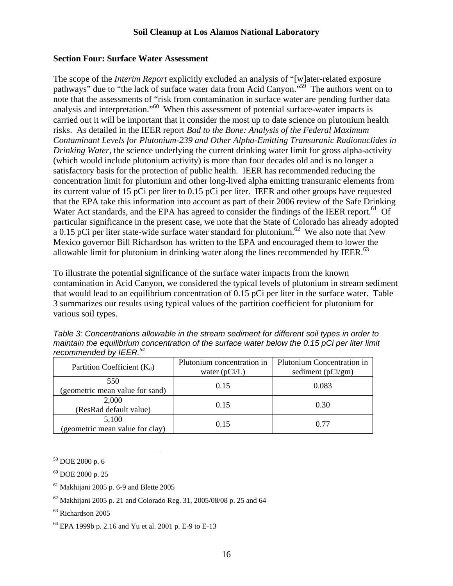#### **Section Four: Surface Water Assessment**

The scope of the *Interim Report* explicitly excluded an analysis of "[w]ater-related exposure pathways" due to "the lack of surface water data from Acid Canyon."<sup>59</sup> The authors went on to note that the assessments of "risk from contamination in surface water are pending further data analysis and interpretation."<sup>60</sup> When this assessment of potential surface-water impacts is carried out it will be important that it consider the most up to date science on plutonium health risks. As detailed in the IEER report *Bad to the Bone: Analysis of the Federal Maximum Contaminant Levels for Plutonium-239 and Other Alpha-Emitting Transuranic Radionuclides in Drinking Water*, the science underlying the current drinking water limit for gross alpha-activity (which would include plutonium activity) is more than four decades old and is no longer a satisfactory basis for the protection of public health. IEER has recommended reducing the concentration limit for plutonium and other long-lived alpha emitting transuranic elements from its current value of 15 pCi per liter to 0.15 pCi per liter. IEER and other groups have requested that the EPA take this information into account as part of their 2006 review of the Safe Drinking Water Act standards, and the EPA has agreed to consider the findings of the IEER report.<sup>61</sup> Of particular significance in the present case, we note that the State of Colorado has already adopted a 0.15 pCi per liter state-wide surface water standard for plutonium.<sup>62</sup> We also note that New Mexico governor Bill Richardson has written to the EPA and encouraged them to lower the allowable limit for plutonium in drinking water along the lines recommended by IEER. $^{63}$  $^{63}$  $^{63}$ 

To illustrate the potential significance of the surface water impacts from the known contamination in Acid Canyon, we considered the typical levels of plutonium in stream sediment that would lead to an equilibrium concentration of 0.15 pCi per liter in the surface water. Table 3 summarizes our results using typical values of the partition coefficient for plutonium for various soil types.

| Table 3: Concentrations allowable in the stream sediment for different soil types in order to  |  |
|------------------------------------------------------------------------------------------------|--|
| maintain the equilibrium concentration of the surface water below the 0.15 pCi per liter limit |  |
| recommended by IEER. <sup>64</sup>                                                             |  |

| Partition Coefficient $(K_d)$   | Plutonium concentration in | Plutonium Concentration in |  |
|---------------------------------|----------------------------|----------------------------|--|
|                                 | water $(pCi/L)$            | sediment $(pCi/gm)$        |  |
| 550                             | 0.15                       | 0.083                      |  |
| (geometric mean value for sand) |                            |                            |  |
| 2,000                           | 0.15                       | 0.30                       |  |
| (ResRad default value)          |                            |                            |  |
| 5,100                           | 0.15                       | 0.77                       |  |
| (geometric mean value for clay) |                            |                            |  |

<span id="page-15-0"></span><sup>59</sup> DOE 2000 p. 6

<span id="page-15-1"></span><sup>60</sup> DOE 2000 p. 25

<span id="page-15-2"></span> $61$  Makhijani 2005 p. 6-9 and Blette 2005

<span id="page-15-3"></span> $62$  Makhijani 2005 p. 21 and Colorado Reg. 31, 2005/08/08 p. 25 and 64

<span id="page-15-4"></span><sup>63</sup> Richardson 2005

<span id="page-15-5"></span><sup>64</sup> EPA 1999b p. 2.16 and Yu et al. 2001 p. E-9 to E-13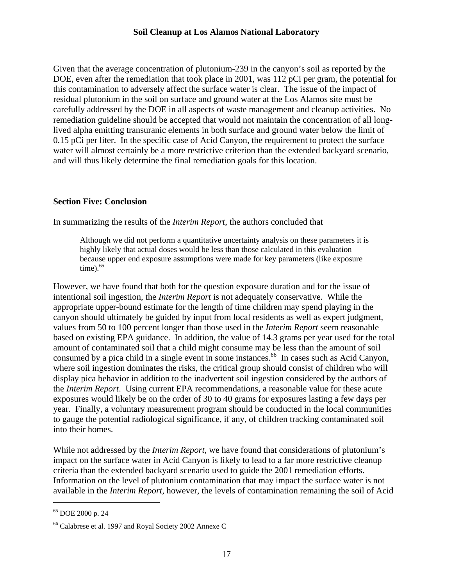Given that the average concentration of plutonium-239 in the canyon's soil as reported by the DOE, even after the remediation that took place in 2001, was 112 pCi per gram, the potential for this contamination to adversely affect the surface water is clear. The issue of the impact of residual plutonium in the soil on surface and ground water at the Los Alamos site must be carefully addressed by the DOE in all aspects of waste management and cleanup activities. No remediation guideline should be accepted that would not maintain the concentration of all longlived alpha emitting transuranic elements in both surface and ground water below the limit of 0.15 pCi per liter. In the specific case of Acid Canyon, the requirement to protect the surface water will almost certainly be a more restrictive criterion than the extended backyard scenario, and will thus likely determine the final remediation goals for this location.

#### **Section Five: Conclusion**

In summarizing the results of the *Interim Report*, the authors concluded that

Although we did not perform a quantitative uncertainty analysis on these parameters it is highly likely that actual doses would be less than those calculated in this evaluation because upper end exposure assumptions were made for key parameters (like exposure time). $65$ 

However, we have found that both for the question exposure duration and for the issue of intentional soil ingestion, the *Interim Report* is not adequately conservative. While the appropriate upper-bound estimate for the length of time children may spend playing in the canyon should ultimately be guided by input from local residents as well as expert judgment, values from 50 to 100 percent longer than those used in the *Interim Report* seem reasonable based on existing EPA guidance. In addition, the value of 14.3 grams per year used for the total amount of contaminated soil that a child might consume may be less than the amount of soil consumed by a pica child in a single event in some instances.<sup>66</sup> In cases such as Acid Canyon, where soil ingestion dominates the risks, the critical group should consist of children who will display pica behavior in addition to the inadvertent soil ingestion considered by the authors of the *Interim Report*. Using current EPA recommendations, a reasonable value for these acute exposures would likely be on the order of 30 to 40 grams for exposures lasting a few days per year. Finally, a voluntary measurement program should be conducted in the local communities to gauge the potential radiological significance, if any, of children tracking contaminated soil into their homes.

While not addressed by the *Interim Report*, we have found that considerations of plutonium's impact on the surface water in Acid Canyon is likely to lead to a far more restrictive cleanup criteria than the extended backyard scenario used to guide the 2001 remediation efforts. Information on the level of plutonium contamination that may impact the surface water is not available in the *Interim Report*, however, the levels of contamination remaining the soil of Acid

1

<span id="page-16-0"></span><sup>65</sup> DOE 2000 p. 24

<span id="page-16-1"></span><sup>66</sup> Calabrese et al. 1997 and Royal Society 2002 Annexe C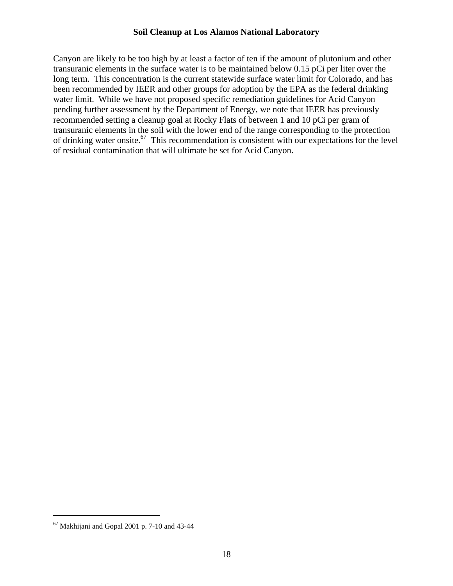Canyon are likely to be too high by at least a factor of ten if the amount of plutonium and other transuranic elements in the surface water is to be maintained below 0.15 pCi per liter over the long term. This concentration is the current statewide surface water limit for Colorado, and has been recommended by IEER and other groups for adoption by the EPA as the federal drinking water limit. While we have not proposed specific remediation guidelines for Acid Canyon pending further assessment by the Department of Energy, we note that IEER has previously recommended setting a cleanup goal at Rocky Flats of between 1 and 10 pCi per gram of transuranic elements in the soil with the lower end of the range corresponding to the protection of drinking water onsite[.67](#page-17-0) This recommendation is consistent with our expectations for the level of residual contamination that will ultimate be set for Acid Canyon.

<span id="page-17-0"></span> $67$  Makhijani and Gopal 2001 p. 7-10 and 43-44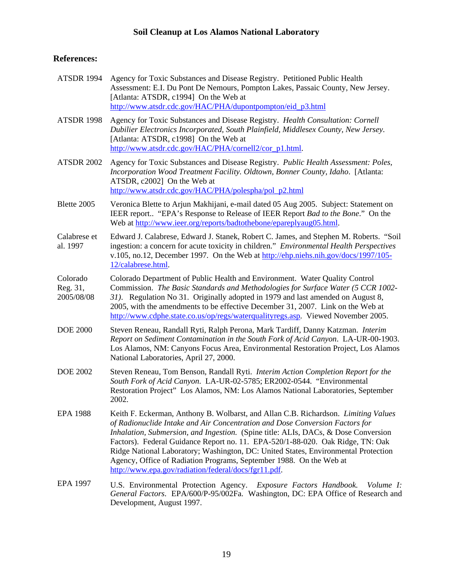### **References:**

| <b>ATSDR 1994</b>                  | Agency for Toxic Substances and Disease Registry. Petitioned Public Health<br>Assessment: E.I. Du Pont De Nemours, Pompton Lakes, Passaic County, New Jersey.<br>[Atlanta: ATSDR, c1994] On the Web at<br>http://www.atsdr.cdc.gov/HAC/PHA/dupontpompton/eid_p3.html                                                                                                                                                                                                                                                                                            |
|------------------------------------|-----------------------------------------------------------------------------------------------------------------------------------------------------------------------------------------------------------------------------------------------------------------------------------------------------------------------------------------------------------------------------------------------------------------------------------------------------------------------------------------------------------------------------------------------------------------|
| <b>ATSDR 1998</b>                  | Agency for Toxic Substances and Disease Registry. Health Consultation: Cornell<br>Dubilier Electronics Incorporated, South Plainfield, Middlesex County, New Jersey.<br>[Atlanta: ATSDR, c1998] On the Web at<br>http://www.atsdr.cdc.gov/HAC/PHA/cornell2/cor_p1.html.                                                                                                                                                                                                                                                                                         |
| <b>ATSDR 2002</b>                  | Agency for Toxic Substances and Disease Registry. Public Health Assessment: Poles,<br>Incorporation Wood Treatment Facility. Oldtown, Bonner County, Idaho. [Atlanta:<br>ATSDR, c2002] On the Web at<br>http://www.atsdr.cdc.gov/HAC/PHA/polespha/pol_p2.html                                                                                                                                                                                                                                                                                                   |
| Blette 2005                        | Veronica Blette to Arjun Makhijani, e-mail dated 05 Aug 2005. Subject: Statement on<br>IEER report "EPA's Response to Release of IEER Report Bad to the Bone." On the<br>Web at http://www.ieer.org/reports/badtothebone/epareplyaug05.html.                                                                                                                                                                                                                                                                                                                    |
| Calabrese et<br>al. 1997           | Edward J. Calabrese, Edward J. Stanek, Robert C. James, and Stephen M. Roberts. "Soil<br>ingestion: a concern for acute toxicity in children." Environmental Health Perspectives<br>v.105, no.12, December 1997. On the Web at http://ehp.niehs.nih.gov/docs/1997/105-<br>12/calabrese.html.                                                                                                                                                                                                                                                                    |
| Colorado<br>Reg. 31,<br>2005/08/08 | Colorado Department of Public Health and Environment. Water Quality Control<br>Commission. The Basic Standards and Methodologies for Surface Water (5 CCR 1002-<br>31). Regulation No 31. Originally adopted in 1979 and last amended on August 8,<br>2005, with the amendments to be effective December 31, 2007. Link on the Web at<br>http://www.cdphe.state.co.us/op/regs/waterqualityregs.asp. Viewed November 2005.                                                                                                                                       |
| <b>DOE 2000</b>                    | Steven Reneau, Randall Ryti, Ralph Perona, Mark Tardiff, Danny Katzman. Interim<br>Report on Sediment Contamination in the South Fork of Acid Canyon. LA-UR-00-1903.<br>Los Alamos, NM: Canyons Focus Area, Environmental Restoration Project, Los Alamos<br>National Laboratories, April 27, 2000.                                                                                                                                                                                                                                                             |
| <b>DOE 2002</b>                    | Steven Reneau, Tom Benson, Randall Ryti. Interim Action Completion Report for the<br>South Fork of Acid Canyon. LA-UR-02-5785; ER2002-0544. "Environmental<br>Restoration Project" Los Alamos, NM: Los Alamos National Laboratories, September<br>2002.                                                                                                                                                                                                                                                                                                         |
| <b>EPA 1988</b>                    | Keith F. Eckerman, Anthony B. Wolbarst, and Allan C.B. Richardson. Limiting Values<br>of Radionuclide Intake and Air Concentration and Dose Conversion Factors for<br>Inhalation, Submersion, and Ingestion. (Spine title: ALIs, DACs, & Dose Conversion<br>Factors). Federal Guidance Report no. 11. EPA-520/1-88-020. Oak Ridge, TN: Oak<br>Ridge National Laboratory; Washington, DC: United States, Environmental Protection<br>Agency, Office of Radiation Programs, September 1988. On the Web at<br>http://www.epa.gov/radiation/federal/docs/fgr11.pdf. |
| <b>EPA 1997</b>                    | U.S. Environmental Protection Agency. Exposure Factors Handbook. Volume I:<br>General Factors. EPA/600/P-95/002Fa. Washington, DC: EPA Office of Research and<br>Development, August 1997.                                                                                                                                                                                                                                                                                                                                                                      |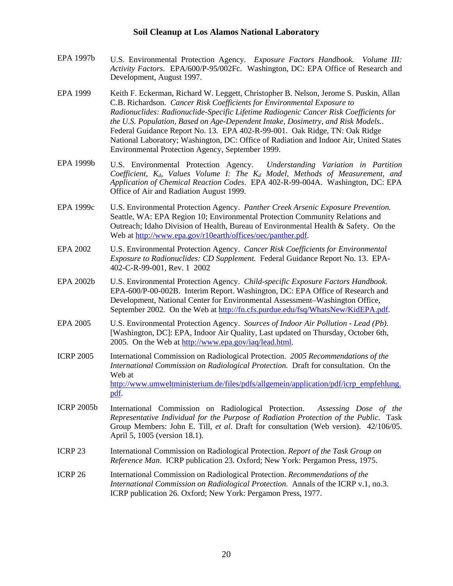- EPA 1997b U.S. Environmental Protection Agency. *Exposure Factors Handbook. Volume III: Activity Factors*. EPA/600/P-95/002Fc. Washington, DC: EPA Office of Research and Development, August 1997.
- EPA 1999 Keith F. Eckerman, Richard W. Leggett, Christopher B. Nelson, Jerome S. Puskin, Allan C.B. Richardson. *Cancer Risk Coefficients for Environmental Exposure to Radionuclides: Radionuclide-Specific Lifetime Radiogenic Cancer Risk Coefficients for the U.S. Population, Based on Age-Dependent Intake, Dosimetry, and Risk Models.*. Federal Guidance Report No. 13. EPA 402-R-99-001. Oak Ridge, TN: Oak Ridge National Laboratory; Washington, DC: Office of Radiation and Indoor Air, United States Environmental Protection Agency, September 1999.
- EPA 1999b U.S. Environmental Protection Agency. *Understanding Variation in Partition Coefficient, K<sub>d</sub>, Values Volume I: The K<sub>d</sub> Model, Methods of Measurement, and Application of Chemical Reaction Codes*. EPA 402-R-99-004A. Washington, DC: EPA Office of Air and Radiation August 1999.
- EPA 1999c U.S. Environmental Protection Agency. *Panther Creek Arsenic Exposure Prevention.* Seattle, WA: EPA Region 10; Environmental Protection Community Relations and Outreach; Idaho Division of Health, Bureau of Environmental Health & Safety. On the Web at<http://www.epa.gov/r10earth/offices/oec/panther.pdf>.
- EPA 2002 U.S. Environmental Protection Agency. *Cancer Risk Coefficients for Environmental Exposure to Radionuclides: CD Supplement.* Federal Guidance Report No. 13. EPA-402-C-R-99-001, Rev. 1 2002
- EPA 2002b U.S. Environmental Protection Agency. *Child-specific Exposure Factors Handbook.*  EPA-600/P-00-002B. Interim Report. Washington, DC: EPA Office of Research and Development, National Center for Environmental Assessment–Washington Office, September 2002. On the Web at [http://fn.cfs.purdue.edu/fsq/WhatsNew/KidEPA.pdf.](http://fn.cfs.purdue.edu/fsq/WhatsNew/KidEPA.pdf)
- EPA 2005 U.S. Environmental Protection Agency. *Sources of Indoor Air Pollution Lead (Pb).*  [Washington, DC]: EPA, Indoor Air Quality, Last updated on Thursday, October 6th, 2005. On the Web at <http://www.epa.gov/iaq/lead.html>.
- ICRP 2005 International Commission on Radiological Protection. *2005 Recommendations of the International Commission on Radiological Protection.* Draft for consultation. On the Web at [http://www.umweltministerium.de/files/pdfs/allgemein/application/pdf/icrp\\_empfehlung.](http://www.umweltministerium.de/files/pdfs/allgemein/application/pdf/icrp_empfehlung.pdf) [pdf.](http://www.umweltministerium.de/files/pdfs/allgemein/application/pdf/icrp_empfehlung.pdf)
- ICRP 2005b International Commission on Radiological Protection. *Assessing Dose of the Representative Individual for the Purpose of Radiation Protection of the Public.* Task Group Members: John E. Till, *et al*. Draft for consultation (Web version). 42/106/05. April 5, 1005 (version 18.1).
- ICRP 23 International Commission on Radiological Protection. *Report of the Task Group on Reference Man*. ICRP publication 23. Oxford; New York: Pergamon Press, 1975.
- ICRP 26 International Commission on Radiological Protection. *Recommendations of the International Commission on Radiological Protection*. Annals of the ICRP v.1, no.3. ICRP publication 26. Oxford; New York: Pergamon Press, 1977.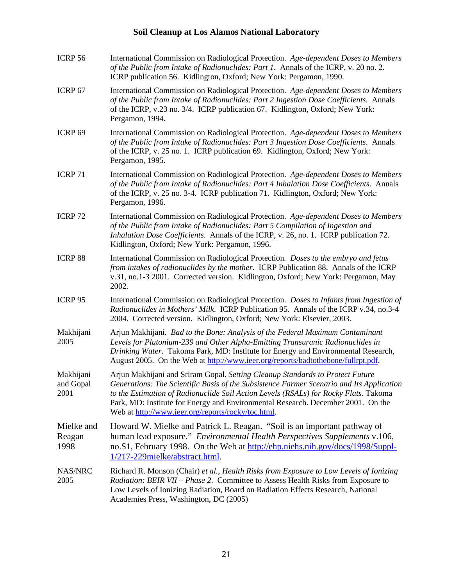| ICRP <sub>56</sub>             | International Commission on Radiological Protection. Age-dependent Doses to Members<br>of the Public from Intake of Radionuclides: Part 1. Annals of the ICRP, v. 20 no. 2.<br>ICRP publication 56. Kidlington, Oxford; New York: Pergamon, 1990.                                                                                                                                                           |
|--------------------------------|-------------------------------------------------------------------------------------------------------------------------------------------------------------------------------------------------------------------------------------------------------------------------------------------------------------------------------------------------------------------------------------------------------------|
| ICRP 67                        | International Commission on Radiological Protection. Age-dependent Doses to Members<br>of the Public from Intake of Radionuclides: Part 2 Ingestion Dose Coefficients. Annals<br>of the ICRP, v.23 no. 3/4. ICRP publication 67. Kidlington, Oxford; New York:<br>Pergamon, 1994.                                                                                                                           |
| ICRP <sub>69</sub>             | International Commission on Radiological Protection. Age-dependent Doses to Members<br>of the Public from Intake of Radionuclides: Part 3 Ingestion Dose Coefficients. Annals<br>of the ICRP, v. 25 no. 1. ICRP publication 69. Kidlington, Oxford; New York:<br>Pergamon, 1995.                                                                                                                            |
| <b>ICRP 71</b>                 | International Commission on Radiological Protection. Age-dependent Doses to Members<br>of the Public from Intake of Radionuclides: Part 4 Inhalation Dose Coefficients. Annals<br>of the ICRP, v. 25 no. 3-4. ICRP publication 71. Kidlington, Oxford; New York:<br>Pergamon, 1996.                                                                                                                         |
| <b>ICRP 72</b>                 | International Commission on Radiological Protection. Age-dependent Doses to Members<br>of the Public from Intake of Radionuclides: Part 5 Compilation of Ingestion and<br>Inhalation Dose Coefficients. Annals of the ICRP, v. 26, no. 1. ICRP publication 72.<br>Kidlington, Oxford; New York: Pergamon, 1996.                                                                                             |
| <b>ICRP 88</b>                 | International Commission on Radiological Protection. Doses to the embryo and fetus<br>from intakes of radionuclides by the mother. ICRP Publication 88. Annals of the ICRP<br>v.31, no.1-3 2001. Corrected version. Kidlington, Oxford; New York: Pergamon, May<br>2002.                                                                                                                                    |
| ICRP 95                        | International Commission on Radiological Protection. Doses to Infants from Ingestion of<br>Radionuclides in Mothers' Milk. ICRP Publication 95. Annals of the ICRP v.34, no.3-4<br>2004. Corrected version. Kidlington, Oxford; New York: Elsevier, 2003.                                                                                                                                                   |
| Makhijani<br>2005              | Arjun Makhijani. Bad to the Bone: Analysis of the Federal Maximum Contaminant<br>Levels for Plutonium-239 and Other Alpha-Emitting Transuranic Radionuclides in<br>Drinking Water. Takoma Park, MD: Institute for Energy and Environmental Research,<br>August 2005. On the Web at http://www.ieer.org/reports/badtothebone/fullrpt.pdf.                                                                    |
| Makhijani<br>and Gopal<br>2001 | Arjun Makhijani and Sriram Gopal. Setting Cleanup Standards to Protect Future<br>Generations: The Scientific Basis of the Subsistence Farmer Scenario and Its Application<br>to the Estimation of Radionuclide Soil Action Levels (RSALs) for Rocky Flats. Takoma<br>Park, MD: Institute for Energy and Environmental Research. December 2001. On the<br>Web at http://www.ieer.org/reports/rocky/toc.html. |
| Mielke and<br>Reagan<br>1998   | Howard W. Mielke and Patrick L. Reagan. "Soil is an important pathway of<br>human lead exposure." Environmental Health Perspectives Supplements v.106,<br>no.S1, February 1998. On the Web at http://ehp.niehs.nih.gov/docs/1998/Suppl-<br>1/217-229mielke/abstract.html.                                                                                                                                   |
| NAS/NRC<br>2005                | Richard R. Monson (Chair) et al., Health Risks from Exposure to Low Levels of Ionizing<br>Radiation: BEIR VII - Phase 2. Committee to Assess Health Risks from Exposure to<br>Low Levels of Ionizing Radiation, Board on Radiation Effects Research, National<br>Academies Press, Washington, DC (2005)                                                                                                     |